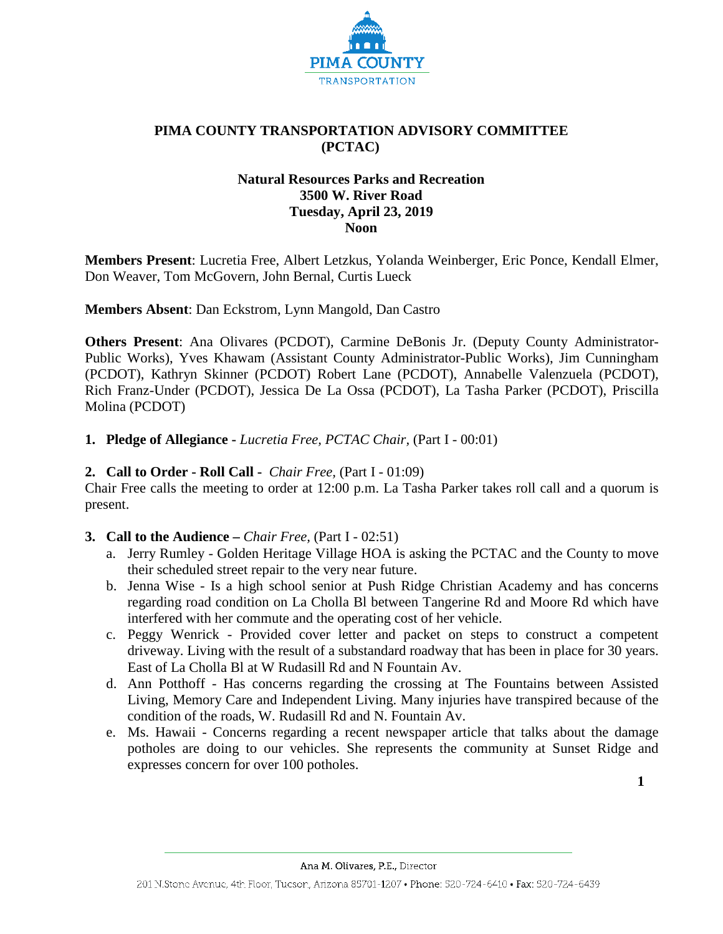

# **PIMA COUNTY TRANSPORTATION ADVISORY COMMITTEE (PCTAC)**

## **Natural Resources Parks and Recreation 3500 W. River Road Tuesday, April 23, 2019 Noon**

**Members Present**: Lucretia Free, Albert Letzkus, Yolanda Weinberger, Eric Ponce, Kendall Elmer, Don Weaver, Tom McGovern, John Bernal, Curtis Lueck

**Members Absent**: Dan Eckstrom, Lynn Mangold, Dan Castro

**Others Present**: Ana Olivares (PCDOT), Carmine DeBonis Jr. (Deputy County Administrator-Public Works), Yves Khawam (Assistant County Administrator-Public Works), Jim Cunningham (PCDOT), Kathryn Skinner (PCDOT) Robert Lane (PCDOT), Annabelle Valenzuela (PCDOT), Rich Franz-Under (PCDOT), Jessica De La Ossa (PCDOT), La Tasha Parker (PCDOT), Priscilla Molina (PCDOT)

**1. Pledge of Allegiance -** *Lucretia Free, PCTAC Chair,* (Part I - 00:01)

## **2. Call to Order - Roll Call -** *Chair Free,* (Part I - 01:09)

Chair Free calls the meeting to order at 12:00 p.m. La Tasha Parker takes roll call and a quorum is present.

- **3. Call to the Audience –** *Chair Free,* (Part I 02:51)
	- a. Jerry Rumley Golden Heritage Village HOA is asking the PCTAC and the County to move their scheduled street repair to the very near future.
	- b. Jenna Wise Is a high school senior at Push Ridge Christian Academy and has concerns regarding road condition on La Cholla Bl between Tangerine Rd and Moore Rd which have interfered with her commute and the operating cost of her vehicle.
	- c. Peggy Wenrick Provided cover letter and packet on steps to construct a competent driveway. Living with the result of a substandard roadway that has been in place for 30 years. East of La Cholla Bl at W Rudasill Rd and N Fountain Av.
	- d. Ann Potthoff Has concerns regarding the crossing at The Fountains between Assisted Living, Memory Care and Independent Living. Many injuries have transpired because of the condition of the roads, W. Rudasill Rd and N. Fountain Av.
	- e. Ms. Hawaii Concerns regarding a recent newspaper article that talks about the damage potholes are doing to our vehicles. She represents the community at Sunset Ridge and expresses concern for over 100 potholes.

**1**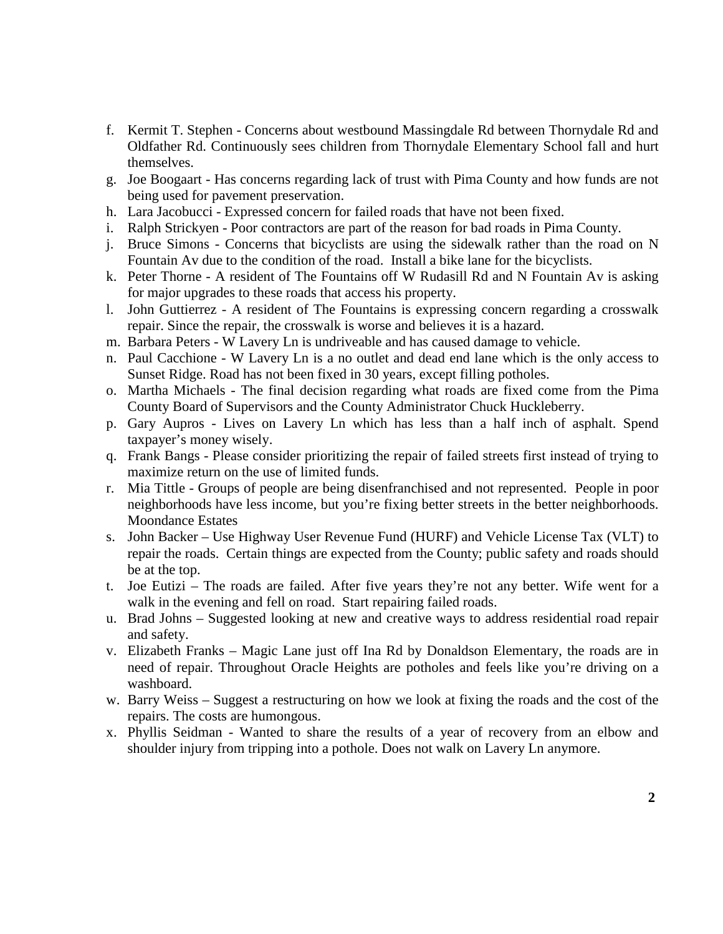- f. Kermit T. Stephen Concerns about westbound Massingdale Rd between Thornydale Rd and Oldfather Rd. Continuously sees children from Thornydale Elementary School fall and hurt themselves.
- g. Joe Boogaart Has concerns regarding lack of trust with Pima County and how funds are not being used for pavement preservation.
- h. Lara Jacobucci Expressed concern for failed roads that have not been fixed.
- i. Ralph Strickyen Poor contractors are part of the reason for bad roads in Pima County.
- j. Bruce Simons Concerns that bicyclists are using the sidewalk rather than the road on N Fountain Av due to the condition of the road. Install a bike lane for the bicyclists.
- k. Peter Thorne A resident of The Fountains off W Rudasill Rd and N Fountain Av is asking for major upgrades to these roads that access his property.
- l. John Guttierrez A resident of The Fountains is expressing concern regarding a crosswalk repair. Since the repair, the crosswalk is worse and believes it is a hazard.
- m. Barbara Peters W Lavery Ln is undriveable and has caused damage to vehicle.
- n. Paul Cacchione W Lavery Ln is a no outlet and dead end lane which is the only access to Sunset Ridge. Road has not been fixed in 30 years, except filling potholes.
- o. Martha Michaels The final decision regarding what roads are fixed come from the Pima County Board of Supervisors and the County Administrator Chuck Huckleberry.
- p. Gary Aupros Lives on Lavery Ln which has less than a half inch of asphalt. Spend taxpayer's money wisely.
- q. Frank Bangs Please consider prioritizing the repair of failed streets first instead of trying to maximize return on the use of limited funds.
- r. Mia Tittle Groups of people are being disenfranchised and not represented. People in poor neighborhoods have less income, but you're fixing better streets in the better neighborhoods. Moondance Estates
- s. John Backer Use Highway User Revenue Fund (HURF) and Vehicle License Tax (VLT) to repair the roads. Certain things are expected from the County; public safety and roads should be at the top.
- t. Joe Eutizi The roads are failed. After five years they're not any better. Wife went for a walk in the evening and fell on road. Start repairing failed roads.
- u. Brad Johns Suggested looking at new and creative ways to address residential road repair and safety.
- v. Elizabeth Franks Magic Lane just off Ina Rd by Donaldson Elementary, the roads are in need of repair. Throughout Oracle Heights are potholes and feels like you're driving on a washboard.
- w. Barry Weiss Suggest a restructuring on how we look at fixing the roads and the cost of the repairs. The costs are humongous.
- x. Phyllis Seidman Wanted to share the results of a year of recovery from an elbow and shoulder injury from tripping into a pothole. Does not walk on Lavery Ln anymore.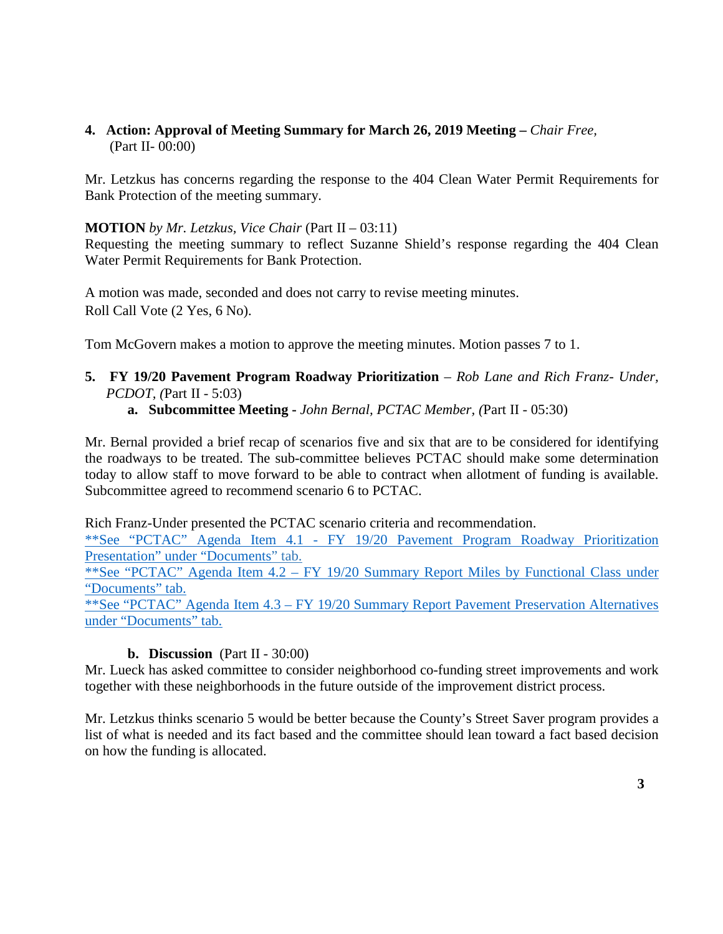# **4. Action: Approval of Meeting Summary for March 26, 2019 Meeting –** *Chair Free,* (Part II- 00:00)

Mr. Letzkus has concerns regarding the response to the 404 Clean Water Permit Requirements for Bank Protection of the meeting summary.

## **MOTION** *by Mr. Letzkus, Vice Chair* (Part II – 03:11)

Requesting the meeting summary to reflect Suzanne Shield's response regarding the 404 Clean Water Permit Requirements for Bank Protection.

A motion was made, seconded and does not carry to revise meeting minutes. Roll Call Vote (2 Yes, 6 No).

Tom McGovern makes a motion to approve the meeting minutes. Motion passes 7 to 1.

# **5. FY 19/20 Pavement Program Roadway Prioritization** – *Rob Lane and Rich Franz- Under, PCDOT, (*Part II - 5:03)

## **a. Subcommittee Meeting -** *John Bernal, PCTAC Member, (*Part II - 05:30)

Mr. Bernal provided a brief recap of scenarios five and six that are to be considered for identifying the roadways to be treated. The sub-committee believes PCTAC should make some determination today to allow staff to move forward to be able to contract when allotment of funding is available. Subcommittee agreed to recommend scenario 6 to PCTAC.

Rich Franz-Under presented the PCTAC scenario criteria and recommendation.

\*\*See "PCTAC" Agenda Item 4.1 - [FY 19/20 Pavement Program Roadway Prioritization](http://webcms.pima.gov/UserFiles/Servers/Server_6/File/Government/Transportation/TransportationAdvisoryCommittee/DocumentsTab/Apr23,%202019/TAC_StreetSaver_PRESENTATION_20190423.pdf)  [Presentation" under "Documents"](http://webcms.pima.gov/UserFiles/Servers/Server_6/File/Government/Transportation/TransportationAdvisoryCommittee/DocumentsTab/Apr23,%202019/TAC_StreetSaver_PRESENTATION_20190423.pdf) tab.

[\\*\\*See "PCTAC" Agenda Item 4.2 –](http://webcms.pima.gov/UserFiles/Servers/Server_6/File/Government/Transportation/TransportationAdvisoryCommittee/DocumentsTab/Apr23,%202019/_Summary%20Report_Miles_by_FunctionalClass_TAC20190411.pdf) FY 19/20 Summary Report Miles by Functional Class under ["Documents" tab.](http://webcms.pima.gov/UserFiles/Servers/Server_6/File/Government/Transportation/TransportationAdvisoryCommittee/DocumentsTab/Apr23,%202019/_Summary%20Report_Miles_by_FunctionalClass_TAC20190411.pdf)

\*\*See "PCTAC" Agenda Item 4.3 – [FY 19/20 Summary Report Pavement Preservation Alternatives](http://webcms.pima.gov/UserFiles/Servers/Server_6/File/Government/Transportation/TransportationAdvisoryCommittee/DocumentsTab/Apr23,%202019/_SummaryReport_TAC20190411.pdf)  [under "Documents" tab.](http://webcms.pima.gov/UserFiles/Servers/Server_6/File/Government/Transportation/TransportationAdvisoryCommittee/DocumentsTab/Apr23,%202019/_SummaryReport_TAC20190411.pdf)

# **b. Discussion** (Part II - 30:00)

Mr. Lueck has asked committee to consider neighborhood co-funding street improvements and work together with these neighborhoods in the future outside of the improvement district process.

Mr. Letzkus thinks scenario 5 would be better because the County's Street Saver program provides a list of what is needed and its fact based and the committee should lean toward a fact based decision on how the funding is allocated.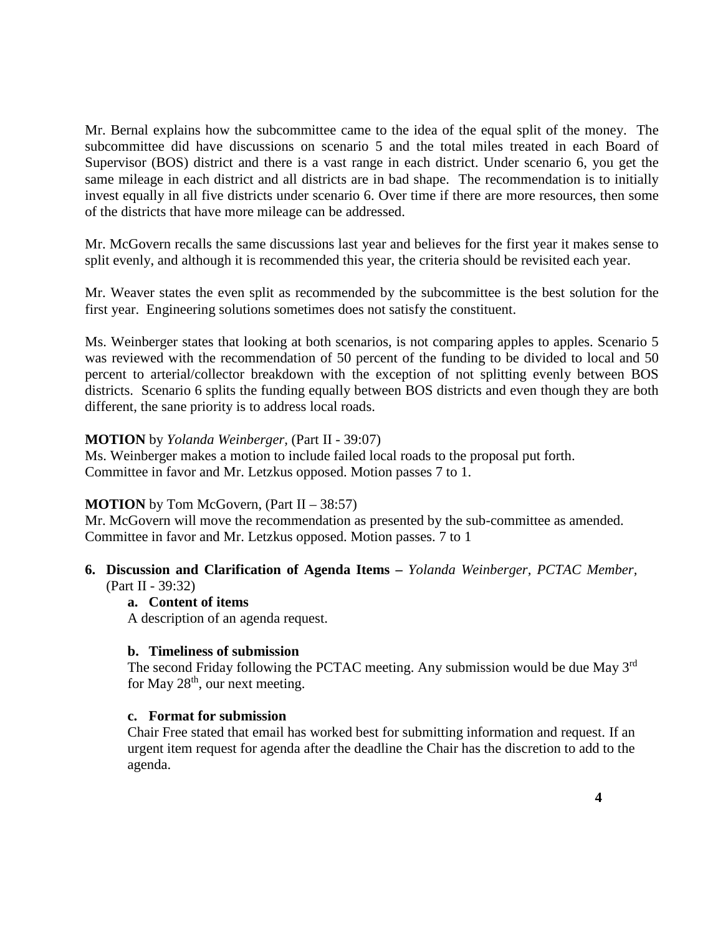Mr. Bernal explains how the subcommittee came to the idea of the equal split of the money. The subcommittee did have discussions on scenario 5 and the total miles treated in each Board of Supervisor (BOS) district and there is a vast range in each district. Under scenario 6, you get the same mileage in each district and all districts are in bad shape. The recommendation is to initially invest equally in all five districts under scenario 6. Over time if there are more resources, then some of the districts that have more mileage can be addressed.

Mr. McGovern recalls the same discussions last year and believes for the first year it makes sense to split evenly, and although it is recommended this year, the criteria should be revisited each year.

Mr. Weaver states the even split as recommended by the subcommittee is the best solution for the first year. Engineering solutions sometimes does not satisfy the constituent.

Ms. Weinberger states that looking at both scenarios, is not comparing apples to apples. Scenario 5 was reviewed with the recommendation of 50 percent of the funding to be divided to local and 50 percent to arterial/collector breakdown with the exception of not splitting evenly between BOS districts. Scenario 6 splits the funding equally between BOS districts and even though they are both different, the sane priority is to address local roads.

## **MOTION** by *Yolanda Weinberger,* (Part II - 39:07)

Ms. Weinberger makes a motion to include failed local roads to the proposal put forth. Committee in favor and Mr. Letzkus opposed. Motion passes 7 to 1.

## **MOTION** by Tom McGovern, (Part II – 38:57)

Mr. McGovern will move the recommendation as presented by the sub-committee as amended. Committee in favor and Mr. Letzkus opposed. Motion passes. 7 to 1

## **6. Discussion and Clarification of Agenda Items –** *Yolanda Weinberger, PCTAC Member,*  (Part II - 39:32)

## **a. Content of items**

A description of an agenda request.

## **b. Timeliness of submission**

The second Friday following the PCTAC meeting. Any submission would be due May 3<sup>rd</sup> for May 28<sup>th</sup>, our next meeting.

## **c. Format for submission**

 Chair Free stated that email has worked best for submitting information and request. If an urgent item request for agenda after the deadline the Chair has the discretion to add to the agenda.